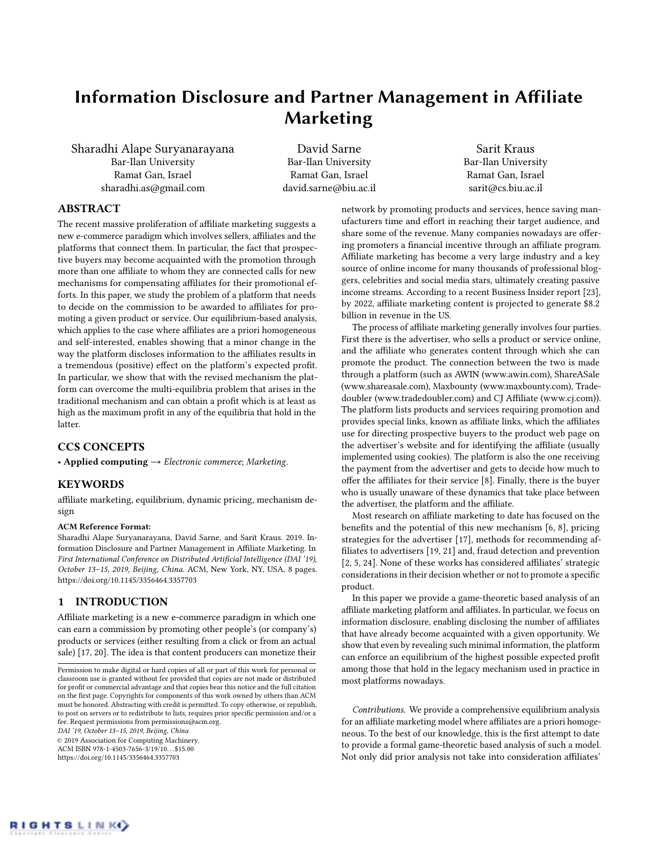# Information Disclosure and Partner Management in Affiliate Marketing

Sharadhi Alape Suryanarayana Bar-Ilan University Ramat Gan, Israel sharadhi.as@gmail.com

David Sarne Bar-Ilan University Ramat Gan, Israel david.sarne@biu.ac.il

Sarit Kraus Bar-Ilan University Ramat Gan, Israel sarit@cs.biu.ac.il

## ABSTRACT

The recent massive proliferation of affiliate marketing suggests a new e-commerce paradigm which involves sellers, affiliates and the platforms that connect them. In particular, the fact that prospective buyers may become acquainted with the promotion through more than one affiliate to whom they are connected calls for new mechanisms for compensating affiliates for their promotional efforts. In this paper, we study the problem of a platform that needs to decide on the commission to be awarded to affiliates for promoting a given product or service. Our equilibrium-based analysis, which applies to the case where affiliates are a priori homogeneous and self-interested, enables showing that a minor change in the way the platform discloses information to the affiliates results in a tremendous (positive) effect on the platform's expected profit. In particular, we show that with the revised mechanism the platform can overcome the multi-equilibria problem that arises in the traditional mechanism and can obtain a profit which is at least as high as the maximum profit in any of the equilibria that hold in the latter.

## CCS CONCEPTS

• Applied computing  $\rightarrow$  Electronic commerce; Marketing.

## **KEYWORDS**

affiliate marketing, equilibrium, dynamic pricing, mechanism design

#### ACM Reference Format:

Sharadhi Alape Suryanarayana, David Sarne, and Sarit Kraus. 2019. Information Disclosure and Partner Management in Affiliate Marketing. In First International Conference on Distributed Artificial Intelligence (DAI '19), October 13–15, 2019, Beijing, China. ACM, New York, NY, USA, [8](#page-7-0) pages. <https://doi.org/10.1145/3356464.3357703>

## 1 INTRODUCTION

Affiliate marketing is a new e-commerce paradigm in which one can earn a commission by promoting other people's (or company's) products or services (either resulting from a click or from an actual sale) [\[17,](#page-6-0) [20\]](#page-6-1). The idea is that content producers can monetize their

DAI '19, October 13–15, 2019, Beijing, China

© 2019 Association for Computing Machinery.

ACM ISBN 978-1-4503-7656-3/19/10. . . \$15.00 <https://doi.org/10.1145/3356464.3357703>

network by promoting products and services, hence saving manufacturers time and effort in reaching their target audience, and share some of the revenue. Many companies nowadays are offering promoters a financial incentive through an affiliate program. Affiliate marketing has become a very large industry and a key source of online income for many thousands of professional bloggers, celebrities and social media stars, ultimately creating passive income streams. According to a recent Business Insider report [\[23\]](#page-6-2), by 2022, affiliate marketing content is projected to generate \$8.2 billion in revenue in the US.

The process of affiliate marketing generally involves four parties. First there is the advertiser, who sells a product or service online, and the affiliate who generates content through which she can promote the product. The connection between the two is made through a platform (such as AWIN (www.awin.com), ShareASale (www.shareasale.com), Maxbounty (www.maxbounty.com), Tradedoubler (www.tradedoubler.com) and CJ Affiliate (www.cj.com)). The platform lists products and services requiring promotion and provides special links, known as affiliate links, which the affiliates use for directing prospective buyers to the product web page on the advertiser's website and for identifying the affiliate (usually implemented using cookies). The platform is also the one receiving the payment from the advertiser and gets to decide how much to offer the affiliates for their service [\[8\]](#page-6-3). Finally, there is the buyer who is usually unaware of these dynamics that take place between the advertiser, the platform and the affiliate.

Most research on affiliate marketing to date has focused on the benefits and the potential of this new mechanism [\[6,](#page-6-4) [8\]](#page-6-3), pricing strategies for the advertiser [\[17\]](#page-6-0), methods for recommending affiliates to advertisers [\[19,](#page-6-5) [21\]](#page-6-6) and, fraud detection and prevention [\[2,](#page-6-7) [5,](#page-6-8) [24\]](#page-6-9). None of these works has considered affiliates' strategic considerations in their decision whether or not to promote a specific product.

In this paper we provide a game-theoretic based analysis of an affiliate marketing platform and affiliates. In particular, we focus on information disclosure, enabling disclosing the number of affiliates that have already become acquainted with a given opportunity. We show that even by revealing such minimal information, the platform can enforce an equilibrium of the highest possible expected profit among those that hold in the legacy mechanism used in practice in most platforms nowadays.

Contributions. We provide a comprehensive equilibrium analysis for an affiliate marketing model where affiliates are a priori homogeneous. To the best of our knowledge, this is the first attempt to date to provide a formal game-theoretic based analysis of such a model. Not only did prior analysis not take into consideration affiliates'



Permission to make digital or hard copies of all or part of this work for personal or classroom use is granted without fee provided that copies are not made or distributed for profit or commercial advantage and that copies bear this notice and the full citation on the first page. Copyrights for components of this work owned by others than ACM must be honored. Abstracting with credit is permitted. To copy otherwise, or republish, to post on servers or to redistribute to lists, requires prior specific permission and/or a fee. Request permissions from permissions@acm.org.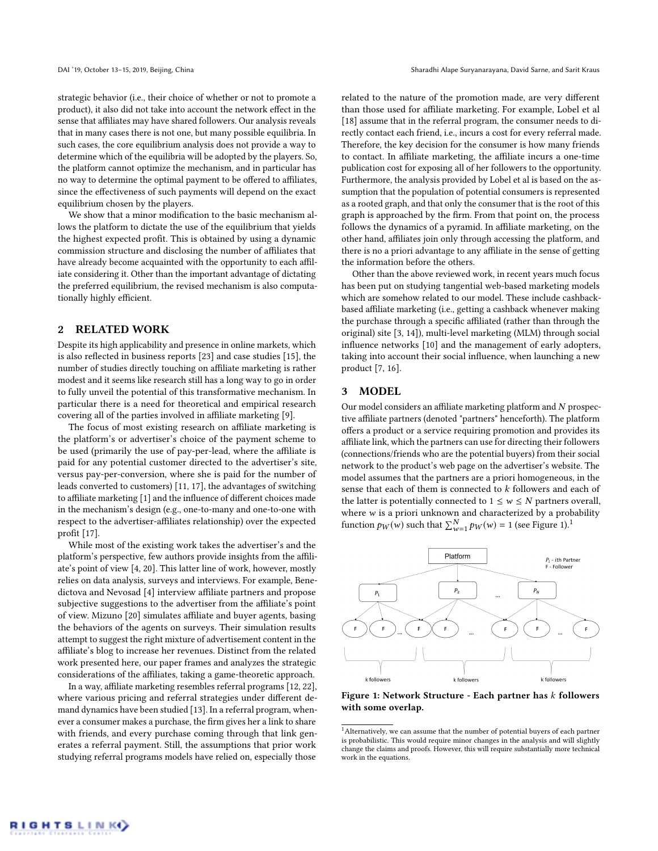strategic behavior (i.e., their choice of whether or not to promote a product), it also did not take into account the network effect in the sense that affiliates may have shared followers. Our analysis reveals that in many cases there is not one, but many possible equilibria. In such cases, the core equilibrium analysis does not provide a way to determine which of the equilibria will be adopted by the players. So, the platform cannot optimize the mechanism, and in particular has no way to determine the optimal payment to be offered to affiliates, since the effectiveness of such payments will depend on the exact equilibrium chosen by the players.

We show that a minor modification to the basic mechanism allows the platform to dictate the use of the equilibrium that yields the highest expected profit. This is obtained by using a dynamic commission structure and disclosing the number of affiliates that have already become acquainted with the opportunity to each affiliate considering it. Other than the important advantage of dictating the preferred equilibrium, the revised mechanism is also computationally highly efficient.

### 2 RELATED WORK

Despite its high applicability and presence in online markets, which is also reflected in business reports [\[23\]](#page-6-2) and case studies [\[15\]](#page-6-10), the number of studies directly touching on affiliate marketing is rather modest and it seems like research still has a long way to go in order to fully unveil the potential of this transformative mechanism. In particular there is a need for theoretical and empirical research covering all of the parties involved in affiliate marketing [\[9\]](#page-6-11).

The focus of most existing research on affiliate marketing is the platform's or advertiser's choice of the payment scheme to be used (primarily the use of pay-per-lead, where the affiliate is paid for any potential customer directed to the advertiser's site, versus pay-per-conversion, where she is paid for the number of leads converted to customers) [\[11,](#page-6-12) [17\]](#page-6-0), the advantages of switching to affiliate marketing [\[1\]](#page-6-13) and the influence of different choices made in the mechanism's design (e.g., one-to-many and one-to-one with respect to the advertiser-affiliates relationship) over the expected profit [\[17\]](#page-6-0).

While most of the existing work takes the advertiser's and the platform's perspective, few authors provide insights from the affiliate's point of view [\[4,](#page-6-14) [20\]](#page-6-1). This latter line of work, however, mostly relies on data analysis, surveys and interviews. For example, Benedictova and Nevosad [\[4\]](#page-6-14) interview affiliate partners and propose subjective suggestions to the advertiser from the affiliate's point of view. Mizuno [\[20\]](#page-6-1) simulates affiliate and buyer agents, basing the behaviors of the agents on surveys. Their simulation results attempt to suggest the right mixture of advertisement content in the affiliate's blog to increase her revenues. Distinct from the related work presented here, our paper frames and analyzes the strategic considerations of the affiliates, taking a game-theoretic approach.

In a way, affiliate marketing resembles referral programs [\[12,](#page-6-15) [22\]](#page-6-16), where various pricing and referral strategies under different demand dynamics have been studied [\[13\]](#page-6-17). In a referral program, whenever a consumer makes a purchase, the firm gives her a link to share with friends, and every purchase coming through that link generates a referral payment. Still, the assumptions that prior work studying referral programs models have relied on, especially those

related to the nature of the promotion made, are very different than those used for affiliate marketing. For example, Lobel et al [\[18\]](#page-6-18) assume that in the referral program, the consumer needs to directly contact each friend, i.e., incurs a cost for every referral made. Therefore, the key decision for the consumer is how many friends to contact. In affiliate marketing, the affiliate incurs a one-time publication cost for exposing all of her followers to the opportunity. Furthermore, the analysis provided by Lobel et al is based on the assumption that the population of potential consumers is represented as a rooted graph, and that only the consumer that is the root of this graph is approached by the firm. From that point on, the process follows the dynamics of a pyramid. In affiliate marketing, on the other hand, affiliates join only through accessing the platform, and there is no a priori advantage to any affiliate in the sense of getting the information before the others.

Other than the above reviewed work, in recent years much focus has been put on studying tangential web-based marketing models which are somehow related to our model. These include cashbackbased affiliate marketing (i.e., getting a cashback whenever making the purchase through a specific affiliated (rather than through the original) site [\[3,](#page-6-19) [14\]](#page-6-20)), multi-level marketing (MLM) through social influence networks [\[10\]](#page-6-21) and the management of early adopters, taking into account their social influence, when launching a new product [\[7,](#page-6-22) [16\]](#page-6-23).

## 3 MODEL

Our model considers an affiliate marketing platform and N prospective affiliate partners (denoted "partners" henceforth). The platform offers a product or a service requiring promotion and provides its affiliate link, which the partners can use for directing their followers (connections/friends who are the potential buyers) from their social network to the product's web page on the advertiser's website. The model assumes that the partners are a priori homogeneous, in the sense that each of them is connected to  $k$  followers and each of the latter is potentially connected to  $1 \leq w \leq N$  partners overall, where w is a priori unknown and characterized by a probability function  $p_W(w)$  such that  $\sum_{w=1}^{N} p_W(w) = 1$  $\sum_{w=1}^{N} p_W(w) = 1$  $\sum_{w=1}^{N} p_W(w) = 1$  (see Figure [1\)](#page-1-0).<sup>1</sup>

<span id="page-1-0"></span>

Figure 1: Network Structure - Each partner has k followers with some overlap.

<span id="page-1-1"></span> $^{\rm 1}$  Alternatively, we can assume that the number of potential buyers of each partner is probabilistic. This would require minor changes in the analysis and will slightly change the claims and proofs. However, this will require substantially more technical work in the equations.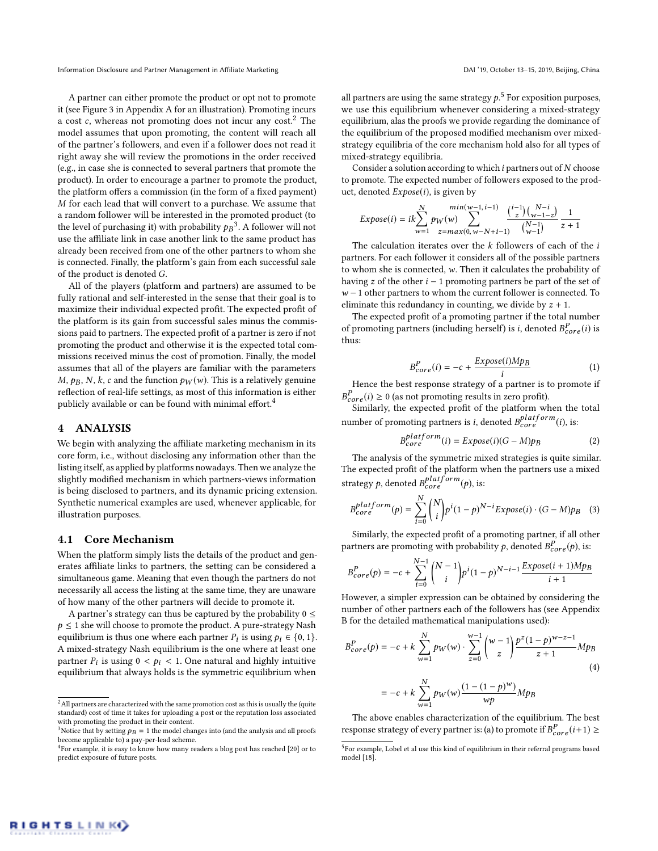A partner can either promote the product or opt not to promote it (see Figure [3](#page-7-1) in Appendix A for an illustration). Promoting incurs a cost  $c$ , whereas not promoting does not incur any cost.<sup>[2](#page-2-0)</sup> The model assumes that upon promoting, the content will reach all of the partner's followers, and even if a follower does not read it right away she will review the promotions in the order received (e.g., in case she is connected to several partners that promote the product). In order to encourage a partner to promote the product, the platform offers a commission (in the form of a fixed payment) M for each lead that will convert to a purchase. We assume that a random follower will be interested in the promoted product (to the level of purchasing it) with probability  $p_B^3$  $p_B^3$ <sup>3</sup>. A follower will not use the affiliate link in case another link to the same product has already been received from one of the other partners to whom she is connected. Finally, the platform's gain from each successful sale of the product is denoted G.

All of the players (platform and partners) are assumed to be fully rational and self-interested in the sense that their goal is to maximize their individual expected profit. The expected profit of the platform is its gain from successful sales minus the commissions paid to partners. The expected profit of a partner is zero if not promoting the product and otherwise it is the expected total commissions received minus the cost of promotion. Finally, the model assumes that all of the players are familiar with the parameters  $M$ ,  $p_B$ , N, k, c and the function  $p_W(w)$ . This is a relatively genuine reflection of real-life settings, as most of this information is either publicly available or can be found with minimal effort.<sup>[4](#page-2-2)</sup>

## 4 ANALYSIS

We begin with analyzing the affiliate marketing mechanism in its core form, i.e., without disclosing any information other than the listing itself, as applied by platforms nowadays. Then we analyze the slightly modified mechanism in which partners-views information is being disclosed to partners, and its dynamic pricing extension. Synthetic numerical examples are used, whenever applicable, for illustration purposes.

#### 4.1 Core Mechanism

When the platform simply lists the details of the product and generates affiliate links to partners, the setting can be considered a simultaneous game. Meaning that even though the partners do not necessarily all access the listing at the same time, they are unaware of how many of the other partners will decide to promote it.

A partner's strategy can thus be captured by the probability  $0 \le$  $p \leq 1$  she will choose to promote the product. A pure-strategy Nash equilibrium is thus one where each partner  $P_i$  is using  $p_i \in \{0, 1\}$ .<br>A mixed-strategy Nash equilibrium is the one where at least one A mixed-strategy Nash equilibrium is the one where at least one partner  $P_i$  is using  $0 < p_i < 1$ . One natural and highly intuitive<br>equilibrium that always holds is the symmetric equilibrium when equilibrium that always holds is the symmetric equilibrium when

all partners are using the same strategy  $p$ .<sup>[5](#page-2-3)</sup> For exposition purposes, we use this equilibrium whenever considering a mixed-strategy equilibrium, alas the proofs we provide regarding the dominance of the equilibrium of the proposed modified mechanism over mixedstrategy equilibria of the core mechanism hold also for all types of mixed-strategy equilibria.

Consider a solution according to which  $i$  partners out of  $N$  choose to promote. The expected number of followers exposed to the product, denoted  $Expose(i)$ , is given by

$$
Expose(i) = ik \sum_{w=1}^{N} p_W(w) \sum_{z=max(0, w-N+i-1)}^{min(w-1, i-1)} \frac{\binom{i-1}{z} \binom{N-i}{w-1-z}}{\binom{N-1}{w-1}} \frac{1}{z+1}
$$

The calculation iterates over the  $k$  followers of each of the  $i$ partners. For each follower it considers all of the possible partners to whom she is connected, w. Then it calculates the probability of having z of the other  $i - 1$  promoting partners be part of the set of w − 1 other partners to whom the current follower is connected. To eliminate this redundancy in counting, we divide by  $z + 1$ .

The expected profit of a promoting partner if the total number of promoting partners (including herself) is *i*, denoted  $B_{core}^P(i)$  is thus: thus:

<span id="page-2-4"></span>
$$
B_{core}^{P}(i) = -c + \frac{Expose(i)Mp_B}{i}
$$
 (1)

Hence the best response strategy of a partner is to promote if  $B_{core}^P(i) \ge 0$  (as not promoting results in zero profit).<br>Similarly, the expected profit of the platform when the total

number of promoting partners is *i*, denoted  $B_{core}^{platform}(i)$ , is:

<span id="page-2-5"></span>
$$
B_{core}^{platform}(i) = Expose(i)(G - M)pB
$$
 (2)

The analysis of the symmetric mixed strategies is quite similar. The expected profit of the platform when the partners use a mixed strategy p, denoted  $B_{core}^{platform}(p)$ , is:

<span id="page-2-6"></span>
$$
B_{core}^{platform}(p) = \sum_{i=0}^{N} {N \choose i} p^{i} (1-p)^{N-i} Expose(i) \cdot (G - M)p_{B}
$$
 (3)  
Similarly, the expected profit of a promoting partner, if all other

partners are promoting with probability p, denoted  $B_{core}^P(p)$ , is:

$$
B_{core}^P(p) = -c + \sum_{i=0}^{N-1} {N-1 \choose i} p^i (1-p)^{N-i-1} \frac{Expose(i+1)Mp_B}{i+1}
$$
  
However, a simpler expression can be obtained by considering the

number of other partners each of the followers has (see Appendix [B](#page-7-2) for the detailed mathematical manipulations used):

$$
B_{core}^{P}(p) = -c + k \sum_{w=1}^{N} p_W(w) \cdot \sum_{z=0}^{w-1} {w-1 \choose z} \frac{p^{z}(1-p)^{w-z-1}}{z+1} M p_B
$$
  
= -c + k  $\sum_{w=1}^{N} p_W(w) \frac{(1-(1-p)^w)}{wp} M p_B$   
The above enables characterization of the equilibrium. The best

response strategy of every partner is: (a) to promote if  $B_{core}^P(i+1) \ge$ 

<span id="page-2-0"></span><sup>&</sup>lt;sup>2</sup> All partners are characterized with the same promotion cost as this is usually the (quite standard) cost of time it takes for uploading a post or the reputation loss associated with promoting the product in their content.

<span id="page-2-1"></span><sup>&</sup>lt;sup>3</sup>Notice that by setting  $p_B = 1$  the model changes into (and the analysis and all proofs become applicable to) a pay-per-lead scheme.

<span id="page-2-2"></span> $^{4}$ For example, it is easy to know how many readers a blog post has reached [\[20\]](#page-6-1) or to predict exposure of future posts.

<span id="page-2-3"></span> $^5$ For example. Lobel et al use this kind of equilibrium in their referral programs based model [\[18\]](#page-6-18).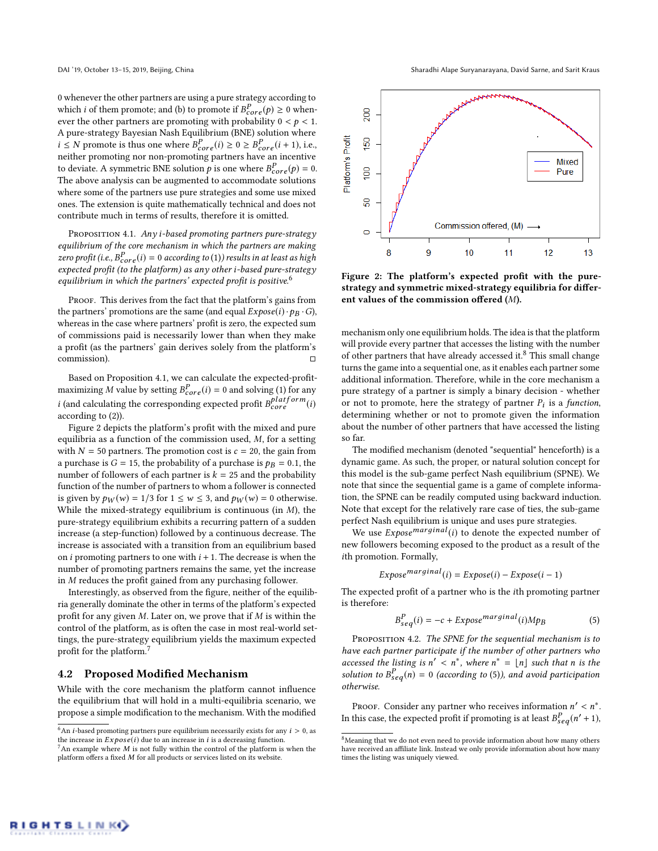0 whenever the other partners are using a pure strategy according to which *i* of them promote; and (b) to promote if  $B_{core}^P(p) \ge 0$  when-<br>ever the other partners are promoting with probability  $0 \le b \le 1$ . ever the other partners are promoting with probability  $0 < p < 1$ . A pure-strategy Bayesian Nash Equilibrium (BNE) solution where  $i \leq N$  promote is thus one where  $B_{core}^P(i) \geq 0 \geq B_{core}^P(i+1)$ , i.e., neither promoting nor non-promoting partners have an incentive neither promoting nor non-promoting partners have an incentive to deviate. A symmetric BNE solution *p* is one where  $B_{core}^P(p) = 0$ .<br>The above analysis can be augmented to accommodate solutions The above analysis can be augmented to accommodate solutions where some of the partners use pure strategies and some use mixed ones. The extension is quite mathematically technical and does not contribute much in terms of results, therefore it is omitted.

<span id="page-3-1"></span>PROPOSITION 4.1. Any i-based promoting partners pure-strategy equilibrium of the core mechanism in which the partners are making zero profit (i.e.,  $B_{core}^P(i) = 0$  according to [\(1\)](#page-2-4)) results in at least as high<br>expected profit (to the platform) as any other i-based pure-strategy expected profit (to the platform) as any other i-based pure-strategy equilibrium in which the partners' expected profit is positive.<sup>[6](#page-3-0)</sup>

PROOF. This derives from the fact that the platform's gains from the partners' promotions are the same (and equal  $Expose(i) \cdot p_B \cdot G$ ), whereas in the case where partners' profit is zero, the expected sum of commissions paid is necessarily lower than when they make a profit (as the partners' gain derives solely from the platform's commission). □

Based on Proposition [4.1,](#page-3-1) we can calculate the expected-profitmaximizing M value by setting  $B_{core}^P(i) = 0$  and solving [\(1\)](#page-2-4) for any *i* (and calculating the corresponding expected profit  $B_{core}^{platform}(i)$ ) according to [\(2\)](#page-2-5)).

Figure [2](#page-3-2) depicts the platform's profit with the mixed and pure equilibria as a function of the commission used, M, for a setting with  $N = 50$  partners. The promotion cost is  $c = 20$ , the gain from a purchase is  $G = 15$ , the probability of a purchase is  $p_B = 0.1$ , the number of followers of each partner is  $k = 25$  and the probability function of the number of partners to whom a follower is connected is given by  $p_W(w) = 1/3$  for  $1 \leq w \leq 3$ , and  $p_W(w) = 0$  otherwise. While the mixed-strategy equilibrium is continuous (in  $M$ ), the pure-strategy equilibrium exhibits a recurring pattern of a sudden increase (a step-function) followed by a continuous decrease. The increase is associated with a transition from an equilibrium based on *i* promoting partners to one with  $i + 1$ . The decrease is when the number of promoting partners remains the same, yet the increase in M reduces the profit gained from any purchasing follower.

Interestingly, as observed from the figure, neither of the equilibria generally dominate the other in terms of the platform's expected profit for any given M. Later on, we prove that if M is within the control of the platform, as is often the case in most real-world settings, the pure-strategy equilibrium yields the maximum expected profit for the platform.[7](#page-3-3)

#### 4.2 Proposed Modified Mechanism

While with the core mechanism the platform cannot influence the equilibrium that will hold in a multi-equilibria scenario, we propose a simple modification to the mechanism. With the modified

<span id="page-3-2"></span>

Figure 2: The platform's expected profit with the purestrategy and symmetric mixed-strategy equilibria for different values of the commission offered (M).

mechanism only one equilibrium holds. The idea is that the platform will provide every partner that accesses the listing with the number of other partners that have already accessed it.<sup>[8](#page-3-4)</sup> This small change turns the game into a sequential one, as it enables each partner some additional information. Therefore, while in the core mechanism a pure strategy of a partner is simply a binary decision - whether or not to promote, here the strategy of partner  $P_i$  is a function, determining whether or not to promote given the information determining whether or not to promote given the information about the number of other partners that have accessed the listing so far.

The modified mechanism (denoted "sequential" henceforth) is a dynamic game. As such, the proper, or natural solution concept for this model is the sub-game perfect Nash equilibrium (SPNE). We note that since the sequential game is a game of complete information, the SPNE can be readily computed using backward induction. Note that except for the relatively rare case of ties, the sub-game perfect Nash equilibrium is unique and uses pure strategies.

We use  $Expose^{marginal}(i)$  to denote the expected number of new followers becoming exposed to the product as a result of the ith promotion. Formally,

$$
Expose marginal(i) = Expose(i) - Expose(i - 1)
$$

The expected profit of a partner who is the ith promoting partner is therefore:

<span id="page-3-5"></span>
$$
B_{seq}^P(i) = -c + Exposemarginal(i)Mp_B
$$
 (5)

<span id="page-3-6"></span>PROPOSITION 4.2. The SPNE for the sequential mechanism is to have each partner participate if the number of other partners who accessed the listing is  $n' < n^*$ , where  $n^* = \lfloor n \rfloor$  such that n is the solution to  $B^P$ ,  $(n) = 0$  (according to (5)) and avoid participation solution to  $B_{seq}^P(n) = 0$  (according to [\(5\)](#page-3-5)), and avoid participation<br>otherwise otherwise.

PROOF. Consider any partner who receives information  $n' < n^*$ .<br>this case, the expected profit if promoting is at least  $R^P$ ,  $(n'+1)$ . In this case, the expected profit if promoting is at least  $B_{seq}^P(n'+1)$ ,

<span id="page-3-0"></span> $^6\mbox{An }i\mbox{-}$  based promoting partners pure equilibrium necessarily exists for any<br>  $i>0,$  as the increase in  $Expose(i)$  due to an increase in i is a decreasing function.

<span id="page-3-3"></span> $7An$  example where  $M$  is not fully within the control of the platform is when the platform offers a fixed M for all products or services listed on its website.

<span id="page-3-4"></span> $8$ Meaning that we do not even need to provide information about how many others have received an affiliate link. Instead we only provide information about how many times the listing was uniquely viewed.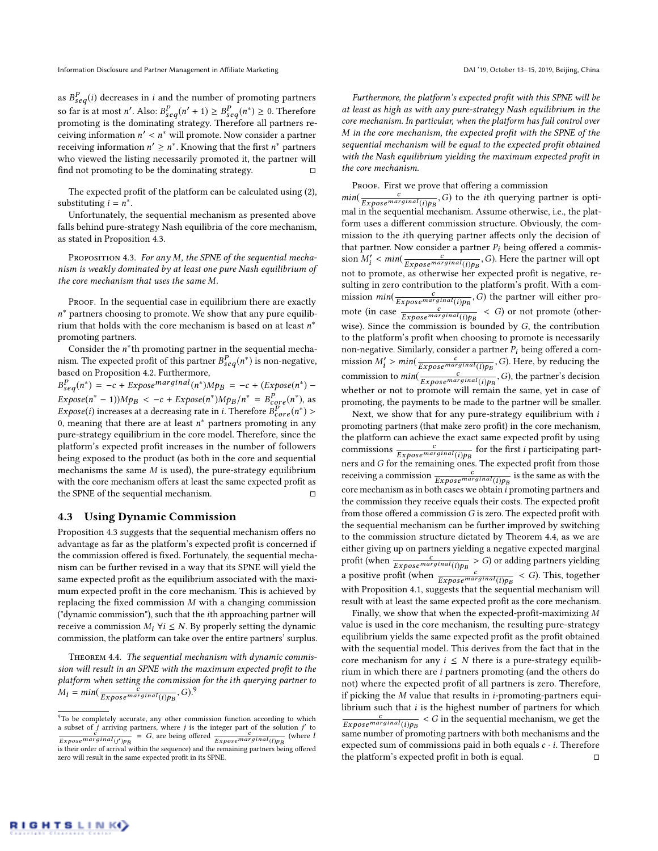as  $B_{seq}^P(i)$  decreases in *i* and the number of promoting partners so far is at most *n'*. Also:  $B_{seq}^P(n' + 1) \geq B_{seq}^P(n'') \geq 0$ . Therefore promoting is the dominating strategy. Therefore all partners repromoting is the dominating strategy. Therefore all partners receiving information  $n' < n^*$  will promote. Now consider a partner<br>receiving information  $n' > n^*$ . Knowing that the first  $n^*$  partners receiving information  $n' \geq n^*$ . Knowing that the first  $n^*$  partners who viewed the listing necessarily promoted it, the partner will find not promoting to be the dominating strategy.

The expected profit of the platform can be calculated using [\(2\)](#page-2-5), substituting  $i = n^*$ .

Unfortunately, the sequential mechanism as presented above falls behind pure-strategy Nash equilibria of the core mechanism, as stated in Proposition [4.3.](#page-4-0)

<span id="page-4-0"></span>PROPOSITION 4.3. For any M, the SPNE of the sequential mechanism is weakly dominated by at least one pure Nash equilibrium of the core mechanism that uses the same M.

PROOF. In the sequential case in equilibrium there are exactly n<sup>\*</sup> partners choosing to promote. We show that any pure equilibrium that holds with the core mechanism is based on at least  $n^*$ promoting partners.

Consider the  $n^*$ th promoting partner in the sequential mechanism. The expected profit of this partner  $B_{seq}^P(n^*)$  is non-negative,<br>hased on Proposition 4.2. Furthermore based on Proposition [4.2.](#page-3-6) Furthermore,

 $B_{seq}^P(n^*) = -c + Expose *marginal*(n^*)Mpg = -c + (Expose(n^*) - E_{R})$  $Expose(n^* - 1)$ ) $Mp_B < -c + Expose(n^*)Mp_B/n^* = B_{core}^P(n^*)$ , as<br>France(i) increases at a decreasing rate in i Therefore  $B_P^P(n^*)$  $Expose(i)$  increases at a decreasing rate in *i*. Therefore  $\overline{B}_{core}^P(n^*) > 0$  meaning that there are at least  $n^*$  partners promoting in any 0, meaning that there are at least  $n^*$  partners promoting in any pure-strategy equilibrium in the core model. Therefore, since the platform's expected profit increases in the number of followers being exposed to the product (as both in the core and sequential mechanisms the same  $M$  is used), the pure-strategy equilibrium with the core mechanism offers at least the same expected profit as the SPNE of the sequential mechanism.  $□$ 

## 4.3 Using Dynamic Commission

Proposition [4.3](#page-4-0) suggests that the sequential mechanism offers no advantage as far as the platform's expected profit is concerned if the commission offered is fixed. Fortunately, the sequential mechanism can be further revised in a way that its SPNE will yield the same expected profit as the equilibrium associated with the maximum expected profit in the core mechanism. This is achieved by replacing the fixed commission M with a changing commission ("dynamic commission"), such that the ith approaching partner will receive a commission  $M_i$   $\forall i \leq N$ . By properly setting the dynamic commission, the platform can take over the entire partners' surplus.

<span id="page-4-2"></span>Theorem 4.4. The sequential mechanism with dynamic commission will result in an SPNE with the maximum expected profit to the platform when setting the commission for the ith querying partner to  $M_i = min(\frac{c}{Exposemarginal(i)p_B}, G)^9$  $M_i = min(\frac{c}{Exposemarginal(i)p_B}, G)^9$ 

Furthermore, the platform's expected profit with this SPNE will be at least as high as with any pure-strategy Nash equilibrium in the core mechanism. In particular, when the platform has full control over M in the core mechanism, the expected profit with the SPNE of the sequential mechanism will be equal to the expected profit obtained with the Nash equilibrium yielding the maximum expected profit in the core mechanism.

PROOF. First we prove that offering a commission

 $min(\frac{c}{Expose^{marginal}(i)ps}, G)$  to the *i*th querying partner is optimal in the sequential mechanism. Assume otherwise, i.e., the platform uses a different commission structure. Obviously, the commission to the ith querying partner affects only the decision of that partner. Now consider a partner  $P_i$  being offered a commission  $M'_i < min(\frac{c}{Expose^{marginal}(i)p_B}, G)$ . Here the partner will opt  $\sum_{i=1}^{\infty}$   $\sum_{i=1}^{\infty}$   $\sum_{i=1}^{\infty}$   $\sum_{i=1}^{\infty}$   $\sum_{i=1}^{\infty}$   $\sum_{i=1}^{\infty}$  . There the particle with optimal (i)  $p_B$ sulting in zero contribution to the platform's profit. With a commission  $min(\frac{c}{Expose<sup>marginal</sup>(i)p<sub>B</sub>}, G)$  the partner will either promote (in case  $\frac{c}{Exposemax_jinal(i)pp} < G$ ) or not promote (other-<br>wise). Since the commission is bounded by G, the contribution wise). Since the commission is bounded by  $G$ , the contribution to the platform's profit when choosing to promote is necessarily non-negative. Similarly, consider a partner  $P_i$  being offered a commission  $M'_l > min(\frac{c}{Exposemaxinal(i)p_B}, G)$ . Here, by reducing the commission to min( $\frac{c}{Exposemax}$ ) the portner's decision commission to  $min(\frac{c}{Expose~marginal(i)p_B}, G)$ , the partner's decision whether or not to promote will remain the same, vet in case of promoting, the payments to be made to the partner will be smaller.

Next, we show that for any pure-strategy equilibrium with  $i$ promoting partners (that make zero profit) in the core mechanism, the platform can achieve the exact same expected profit by using commissions  $\frac{c}{Expose<sup>mg</sup> in a [i] p_B}$  for the first *i* participating part-<br>ners and *G* for the remaining ones. The expected profit from those ners and  $G$  for the remaining ones. The expected profit from those receiving a commission  $\frac{c}{Expose<sup>mg</sup> in all (i)p<sub>B</sub>}$  is the same as with the core mechanism as in both cases we obtain i promoting partners and the commission they receive equals their costs. The expected profit from those offered a commission  $G$  is zero. The expected profit with the sequential mechanism can be further improved by switching to the commission structure dictated by Theorem [4.4,](#page-4-2) as we are either giving up on partners yielding a negative expected marginal profit (when  $\frac{c}{Exposeq^{\frac{arginal(i)p_B}{c}}} > G$ ) or adding partners yielding a positive profit (when  $\frac{c}{Exposeqmarginal(i)p_B} < G$ ). This, together with Proposition [4.1,](#page-3-1) suggests that the sequential mechanism will result with at least the same expected profit as the core mechanism.

Finally, we show that when the expected-profit-maximizing M value is used in the core mechanism, the resulting pure-strategy equilibrium yields the same expected profit as the profit obtained with the sequential model. This derives from the fact that in the core mechanism for any  $i \leq N$  there is a pure-strategy equilibrium in which there are i partners promoting (and the others do not) where the expected profit of all partners is zero. Therefore, if picking the  $M$  value that results in  $i$ -promoting-partners equilibrium such that  $i$  is the highest number of partners for which  $\frac{c}{Expose^{marginal}(i)p_B} < G$  in the sequential mechanism, we get the same number of promoting partners with both mechanisms and the expected sum of commissions paid in both equals  $c \cdot i$ . Therefore the platform's expected profit in both is equal.  $□$ 

<span id="page-4-1"></span> $9^9$ To be completely accurate, any other commission function according to which a subset of *j* arriving partners, where *j* is the integer part of the solution *j'* to  $\frac{c}{\sqrt{c}} = G$  are being offered  $\frac{c}{\sqrt{c}}$  (where *l*  $\frac{c}{Exposmarginal(j')p_B} = G$ , are being offered  $\frac{c}{Exposmarginal(l)p_B}$  (where l<br>is their order of arrival within the sequence) and the remaining partners being offered zero will result in the same expected profit in its SPNE.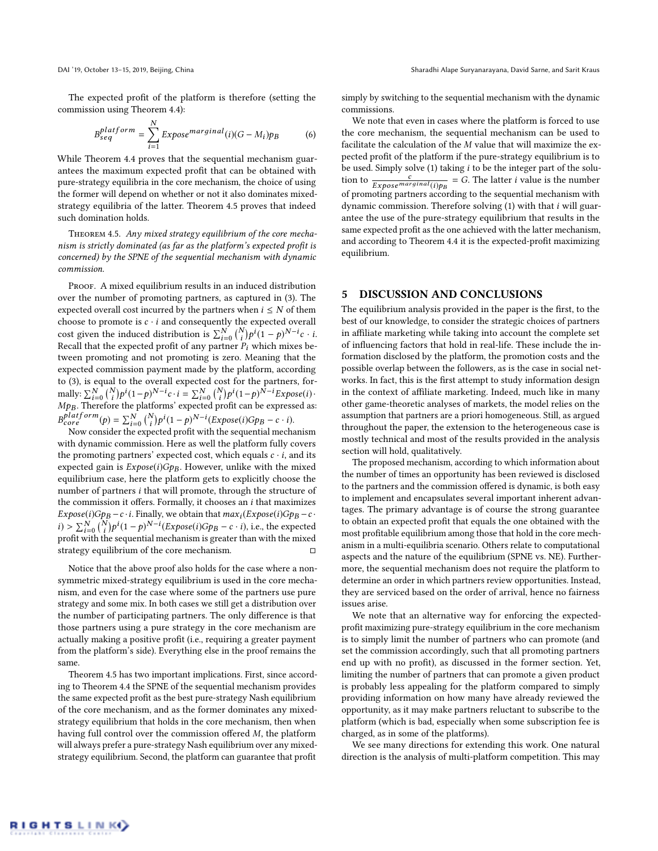The expected profit of the platform is therefore (setting the commission using Theorem [4.4\)](#page-4-2):

$$
B_{seq}^{platform} = \sum_{i=1}^{N} Expose^{marginal}(i)(G - M_i)p_B
$$
 (6)

While Theorem [4.4](#page-4-2) proves that the sequential mechanism guarantees the maximum expected profit that can be obtained with pure-strategy equilibria in the core mechanism, the choice of using the former will depend on whether or not it also dominates mixedstrategy equilibria of the latter. Theorem [4.5](#page-5-0) proves that indeed such domination holds.

<span id="page-5-0"></span>Theorem 4.5. Any mixed strategy equilibrium of the core mechanism is strictly dominated (as far as the platform's expected profit is concerned) by the SPNE of the sequential mechanism with dynamic commission.

PROOF. A mixed equilibrium results in an induced distribution over the number of promoting partners, as captured in [\(3\)](#page-2-6). The expected overall cost incurred by the partners when  $i \leq N$  of them choose to promote is  $c \cdot i$  and consequently the expected overall cost given the induced distribution is  $\sum_{i=0}^{N} {N \choose i} p^i (1-p)^{N-i} c \cdot i$ .<br>Recall that the expected profit of any partner P, which mixes be-Recall that the expected profit of any partner  $P_i$  which mixes be-<br>tween promoting and not promoting is zero. Meaning that the tween promoting and not promoting is zero. Meaning that the expected commission payment made by the platform, according to [\(3\)](#page-2-6), is equal to the overall expected cost for the partners, formally:  $\sum_{i=0}^{N} {N \choose i}$ <br>Mnn. Therefor  $(p^i(1-p)^{N-i}c \cdot i = \sum_{i=0}^N {N \choose i}$ <br>e the platforms' expected pl  $\int p^i (1-p)^{N-i} E x p o s e(i)$  $Mp_B$ . Therefore the platforms' expected profit can be expressed as:<br> $n^{plate}$  $B_{core}^{platform}(p) = \sum_{i=0}^{N} {N \choose i} p^{i} (1-p)^{N-i} (Expose(i)Gpp - c \cdot i).$ <br>Now consider the expected profit with the sequential mecha  $\int_{\text{core}}^e (p) = \sum_{i=0}^{\infty} \binom{n}{i} p^i (1-p)^{i}$  '(*Expose(1)Gp<sub>B</sub>* – *c* · *i*).<br>Now consider the expected profit with the sequential mechanism

with dynamic commission. Here as well the platform fully covers the promoting partners' expected cost, which equals  $c \cdot i$ , and its expected gain is  $Expose(i)Gp_B$ . However, unlike with the mixed equilibrium case, here the platform gets to explicitly choose the number of partners i that will promote, through the structure of the commission it offers. Formally, it chooses an  $i$  that maximizes  $Expose(i)Gp_B - c \cdot i$ . Finally, we obtain that  $max_i(EXpose(i)Gp_B - c \cdot i$ .  $i) > \sum_{i=0}^{N} {N \choose i} p^{i} (1-p)^{N-i} (Expose(i)Gpp - c \cdot i)$ , i.e., the expected<br>profit with the sequential mechanism is greater than with the mixed  $i > \sum_{i=0}^{n} {i \choose i} p^{i} (1-p)^{i}$  (*Expose(i)Gp<sub>B</sub>*  $- c \cdot i$ ), i.e., the expected profit with the sequential mechanism is greater than with the mixed strategy equilibrium of the core mechanism.  $□$ 

Notice that the above proof also holds for the case where a nonsymmetric mixed-strategy equilibrium is used in the core mechanism, and even for the case where some of the partners use pure strategy and some mix. In both cases we still get a distribution over the number of participating partners. The only difference is that those partners using a pure strategy in the core mechanism are actually making a positive profit (i.e., requiring a greater payment from the platform's side). Everything else in the proof remains the same.

Theorem [4.5](#page-5-0) has two important implications. First, since according to Theorem [4.4](#page-4-2) the SPNE of the sequential mechanism provides the same expected profit as the best pure-strategy Nash equilibrium of the core mechanism, and as the former dominates any mixedstrategy equilibrium that holds in the core mechanism, then when having full control over the commission offered M, the platform will always prefer a pure-strategy Nash equilibrium over any mixedstrategy equilibrium. Second, the platform can guarantee that profit

simply by switching to the sequential mechanism with the dynamic commissions.

We note that even in cases where the platform is forced to use the core mechanism, the sequential mechanism can be used to facilitate the calculation of the M value that will maximize the expected profit of the platform if the pure-strategy equilibrium is to be used. Simply solve [\(1\)](#page-2-4) taking i to be the integer part of the solution to  $\frac{c}{Expose<sup>max</sup>ginal(i)p_B}$  = G. The latter *i* value is the number<br>of promoting partners according to the sequential mechanism with of promoting partners according to the sequential mechanism with dynamic commission. Therefore solving  $(1)$  with that i will guarantee the use of the pure-strategy equilibrium that results in the same expected profit as the one achieved with the latter mechanism, and according to Theorem [4.4](#page-4-2) it is the expected-profit maximizing equilibrium.

## 5 DISCUSSION AND CONCLUSIONS

The equilibrium analysis provided in the paper is the first, to the best of our knowledge, to consider the strategic choices of partners in affiliate marketing while taking into account the complete set of influencing factors that hold in real-life. These include the information disclosed by the platform, the promotion costs and the possible overlap between the followers, as is the case in social networks. In fact, this is the first attempt to study information design in the context of affiliate marketing. Indeed, much like in many other game-theoretic analyses of markets, the model relies on the assumption that partners are a priori homogeneous. Still, as argued throughout the paper, the extension to the heterogeneous case is mostly technical and most of the results provided in the analysis section will hold, qualitatively.

The proposed mechanism, according to which information about the number of times an opportunity has been reviewed is disclosed to the partners and the commission offered is dynamic, is both easy to implement and encapsulates several important inherent advantages. The primary advantage is of course the strong guarantee to obtain an expected profit that equals the one obtained with the most profitable equilibrium among those that hold in the core mechanism in a multi-equilibria scenario. Others relate to computational aspects and the nature of the equilibrium (SPNE vs. NE). Furthermore, the sequential mechanism does not require the platform to determine an order in which partners review opportunities. Instead, they are serviced based on the order of arrival, hence no fairness issues arise.

We note that an alternative way for enforcing the expectedprofit maximizing pure-strategy equilibrium in the core mechanism is to simply limit the number of partners who can promote (and set the commission accordingly, such that all promoting partners end up with no profit), as discussed in the former section. Yet, limiting the number of partners that can promote a given product is probably less appealing for the platform compared to simply providing information on how many have already reviewed the opportunity, as it may make partners reluctant to subscribe to the platform (which is bad, especially when some subscription fee is charged, as in some of the platforms).

We see many directions for extending this work. One natural direction is the analysis of multi-platform competition. This may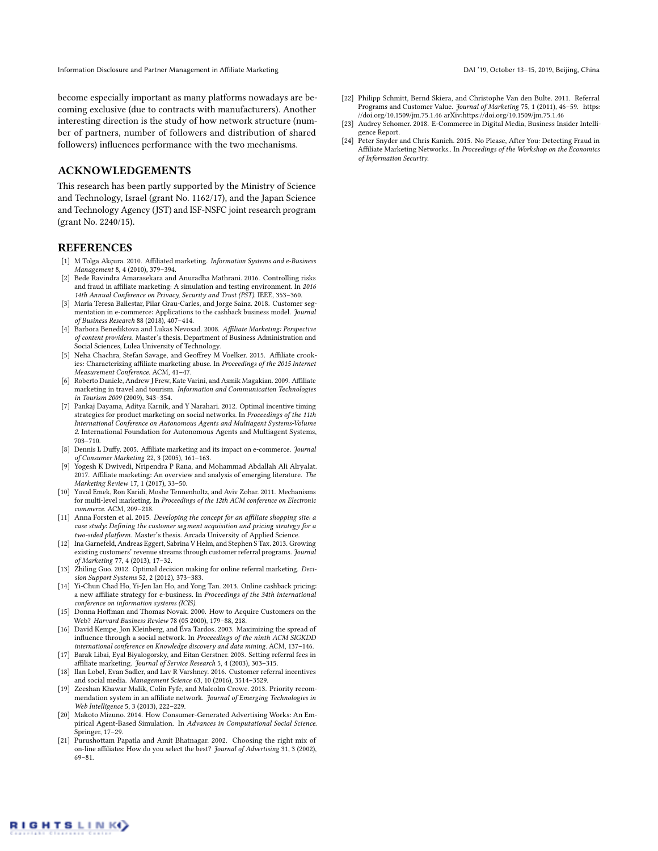Information Disclosure and Partner Management in Affiliate Marketing DAI '19, October 13-15, 2019, Beijing, China

become especially important as many platforms nowadays are becoming exclusive (due to contracts with manufacturers). Another interesting direction is the study of how network structure (number of partners, number of followers and distribution of shared followers) influences performance with the two mechanisms.

## ACKNOWLEDGEMENTS

This research has been partly supported by the Ministry of Science and Technology, Israel (grant No. 1162/17), and the Japan Science and Technology Agency (JST) and ISF-NSFC joint research program (grant No. 2240/15).

## **REFERENCES**

- <span id="page-6-13"></span>[1] M Tolga Akçura. 2010. Affiliated marketing. Information Systems and e-Business Management 8, 4 (2010), 379–394.
- <span id="page-6-7"></span>[2] Bede Ravindra Amarasekara and Anuradha Mathrani. 2016. Controlling risks and fraud in affiliate marketing: A simulation and testing environment. In 2016 14th Annual Conference on Privacy, Security and Trust (PST). IEEE, 353–360.
- <span id="page-6-19"></span>[3] María Teresa Ballestar, Pilar Grau-Carles, and Jorge Sainz. 2018. Customer segmentation in e-commerce: Applications to the cashback business model. Journal of Business Research 88 (2018), 407–414.
- <span id="page-6-14"></span>[4] Barbora Benediktova and Lukas Nevosad. 2008. Affiliate Marketing: Perspective of content providers. Master's thesis. Department of Business Administration and Social Sciences, Lulea University of Technology.
- <span id="page-6-8"></span>[5] Neha Chachra, Stefan Savage, and Geoffrey M Voelker. 2015. Affiliate crookies: Characterizing affiliate marketing abuse. In Proceedings of the 2015 Internet Measurement Conference. ACM, 41–47.
- <span id="page-6-4"></span>[6] Roberto Daniele, Andrew J Frew, Kate Varini, and Asmik Magakian. 2009. Affiliate marketing in travel and tourism. Information and Communication Technologies in Tourism 2009 (2009), 343–354.
- <span id="page-6-22"></span>[7] Pankaj Dayama, Aditya Karnik, and Y Narahari. 2012. Optimal incentive timing strategies for product marketing on social networks. In Proceedings of the 11th International Conference on Autonomous Agents and Multiagent Systems-Volume 2. International Foundation for Autonomous Agents and Multiagent Systems, 703–710.
- <span id="page-6-3"></span>[8] Dennis L Duffy. 2005. Affiliate marketing and its impact on e-commerce. Journal of Consumer Marketing 22, 3 (2005), 161–163.
- <span id="page-6-11"></span>[9] Yogesh K Dwivedi, Nripendra P Rana, and Mohammad Abdallah Ali Alryalat. 2017. Affiliate marketing: An overview and analysis of emerging literature. The Marketing Review 17, 1 (2017), 33–50.
- <span id="page-6-21"></span>[10] Yuval Emek, Ron Karidi, Moshe Tennenholtz, and Aviv Zohar. 2011. Mechanisms for multi-level marketing. In Proceedings of the 12th ACM conference on Electronic commerce. ACM, 209–218.
- <span id="page-6-12"></span>[11] Anna Forsten et al. 2015. Developing the concept for an affiliate shopping site: a case study: Defining the customer segment acquisition and pricing strategy for a two-sided platform. Master's thesis. Arcada University of Applied Science.
- <span id="page-6-15"></span>[12] Ina Garnefeld, Andreas Eggert, Sabrina V Helm, and Stephen S Tax. 2013. Growing existing customers' revenue streams through customer referral programs. Journal of Marketing 77, 4 (2013), 17–32.
- <span id="page-6-17"></span>[13] Zhiling Guo. 2012. Optimal decision making for online referral marketing. Decision Support Systems 52, 2 (2012), 373–383.
- <span id="page-6-20"></span>[14] Yi-Chun Chad Ho, Yi-Jen Ian Ho, and Yong Tan. 2013. Online cashback pricing: a new affiliate strategy for e-business. In Proceedings of the 34th international conference on information systems (ICIS).
- <span id="page-6-10"></span>[15] Donna Hoffman and Thomas Novak. 2000. How to Acquire Customers on the Web? Harvard Business Review 78 (05 2000), 179–88, 218.
- <span id="page-6-23"></span>[16] David Kempe, Jon Kleinberg, and Éva Tardos. 2003. Maximizing the spread of influence through a social network. In Proceedings of the ninth ACM SIGKDD international conference on Knowledge discovery and data mining. ACM, 137–146.
- <span id="page-6-0"></span>[17] Barak Libai, Eyal Biyalogorsky, and Eitan Gerstner. 2003. Setting referral fees in affiliate marketing. Journal of Service Research 5, 4 (2003), 303-315.
- <span id="page-6-18"></span>[18] Ilan Lobel, Evan Sadler, and Lav R Varshney. 2016. Customer referral incentives and social media. Management Science 63, 10 (2016), 3514–3529.
- <span id="page-6-5"></span>[19] Zeeshan Khawar Malik, Colin Fyfe, and Malcolm Crowe. 2013. Priority recommendation system in an affiliate network. Journal of Emerging Technologies in Web Intelligence 5, 3 (2013), 222–229.
- <span id="page-6-1"></span>[20] Makoto Mizuno. 2014. How Consumer-Generated Advertising Works: An Empirical Agent-Based Simulation. In Advances in Computational Social Science. Springer, 17–29.
- <span id="page-6-6"></span>[21] Purushottam Papatla and Amit Bhatnagar. 2002. Choosing the right mix of on-line affiliates: How do you select the best? Journal of Advertising 31, 3 (2002), 69–81.
- <span id="page-6-16"></span>[22] Philipp Schmitt, Bernd Skiera, and Christophe Van den Bulte. 2011. Referral Programs and Customer Value. Journal of Marketing 75, 1 (2011), 46-59. [https:](https://doi.org/10.1509/jm.75.1.46) [//doi.org/10.1509/jm.75.1.46](https://doi.org/10.1509/jm.75.1.46) arXiv[:https://doi.org/10.1509/jm.75.1.46](http://arxiv.org/abs/https://doi.org/10.1509/jm.75.1.46)
- <span id="page-6-2"></span>[23] Audrey Schomer. 2018. E-Commerce in Digital Media, Business Insider Intelligence Report.
- <span id="page-6-9"></span>[24] Peter Snyder and Chris Kanich. 2015. No Please, After You: Detecting Fraud in Affiliate Marketing Networks.. In Proceedings of the Workshop on the Economics of Information Security.